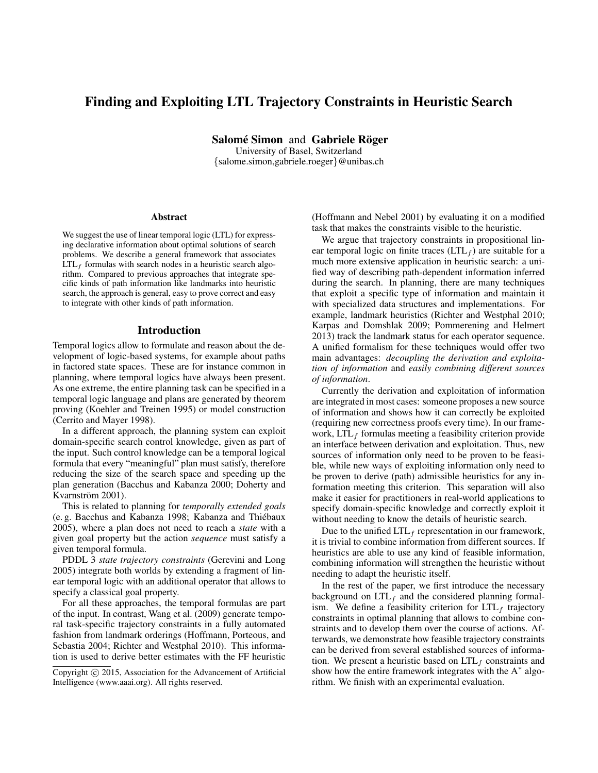## Finding and Exploiting LTL Trajectory Constraints in Heuristic Search

Salomé Simon and Gabriele Röger

University of Basel, Switzerland {salome.simon,gabriele.roeger}@unibas.ch

#### **Abstract**

We suggest the use of linear temporal logic (LTL) for expressing declarative information about optimal solutions of search problems. We describe a general framework that associates  $LTL<sub>f</sub>$  formulas with search nodes in a heuristic search algorithm. Compared to previous approaches that integrate specific kinds of path information like landmarks into heuristic search, the approach is general, easy to prove correct and easy to integrate with other kinds of path information.

#### Introduction

Temporal logics allow to formulate and reason about the development of logic-based systems, for example about paths in factored state spaces. These are for instance common in planning, where temporal logics have always been present. As one extreme, the entire planning task can be specified in a temporal logic language and plans are generated by theorem proving (Koehler and Treinen 1995) or model construction (Cerrito and Mayer 1998).

In a different approach, the planning system can exploit domain-specific search control knowledge, given as part of the input. Such control knowledge can be a temporal logical formula that every "meaningful" plan must satisfy, therefore reducing the size of the search space and speeding up the plan generation (Bacchus and Kabanza 2000; Doherty and Kvarnström 2001).

This is related to planning for *temporally extended goals* (e. g. Bacchus and Kabanza 1998; Kabanza and Thiebaux ´ 2005), where a plan does not need to reach a *state* with a given goal property but the action *sequence* must satisfy a given temporal formula.

PDDL 3 *state trajectory constraints* (Gerevini and Long 2005) integrate both worlds by extending a fragment of linear temporal logic with an additional operator that allows to specify a classical goal property.

For all these approaches, the temporal formulas are part of the input. In contrast, Wang et al. (2009) generate temporal task-specific trajectory constraints in a fully automated fashion from landmark orderings (Hoffmann, Porteous, and Sebastia 2004; Richter and Westphal 2010). This information is used to derive better estimates with the FF heuristic

(Hoffmann and Nebel 2001) by evaluating it on a modified task that makes the constraints visible to the heuristic.

We argue that trajectory constraints in propositional linear temporal logic on finite traces  $(LTL<sub>f</sub>)$  are suitable for a much more extensive application in heuristic search: a unified way of describing path-dependent information inferred during the search. In planning, there are many techniques that exploit a specific type of information and maintain it with specialized data structures and implementations. For example, landmark heuristics (Richter and Westphal 2010; Karpas and Domshlak 2009; Pommerening and Helmert 2013) track the landmark status for each operator sequence. A unified formalism for these techniques would offer two main advantages: *decoupling the derivation and exploitation of information* and *easily combining different sources of information*.

Currently the derivation and exploitation of information are integrated in most cases: someone proposes a new source of information and shows how it can correctly be exploited (requiring new correctness proofs every time). In our framework,  $LTL_f$  formulas meeting a feasibility criterion provide an interface between derivation and exploitation. Thus, new sources of information only need to be proven to be feasible, while new ways of exploiting information only need to be proven to derive (path) admissible heuristics for any information meeting this criterion. This separation will also make it easier for practitioners in real-world applications to specify domain-specific knowledge and correctly exploit it without needing to know the details of heuristic search.

Due to the unified  $LTL_f$  representation in our framework, it is trivial to combine information from different sources. If heuristics are able to use any kind of feasible information, combining information will strengthen the heuristic without needing to adapt the heuristic itself.

In the rest of the paper, we first introduce the necessary background on  $LTL<sub>f</sub>$  and the considered planning formalism. We define a feasibility criterion for  $LTL<sub>f</sub>$  trajectory constraints in optimal planning that allows to combine constraints and to develop them over the course of actions. Afterwards, we demonstrate how feasible trajectory constraints can be derived from several established sources of information. We present a heuristic based on  $LTL_f$  constraints and show how the entire framework integrates with the  $A^*$  algorithm. We finish with an experimental evaluation.

Copyright  $\odot$  2015, Association for the Advancement of Artificial Intelligence (www.aaai.org). All rights reserved.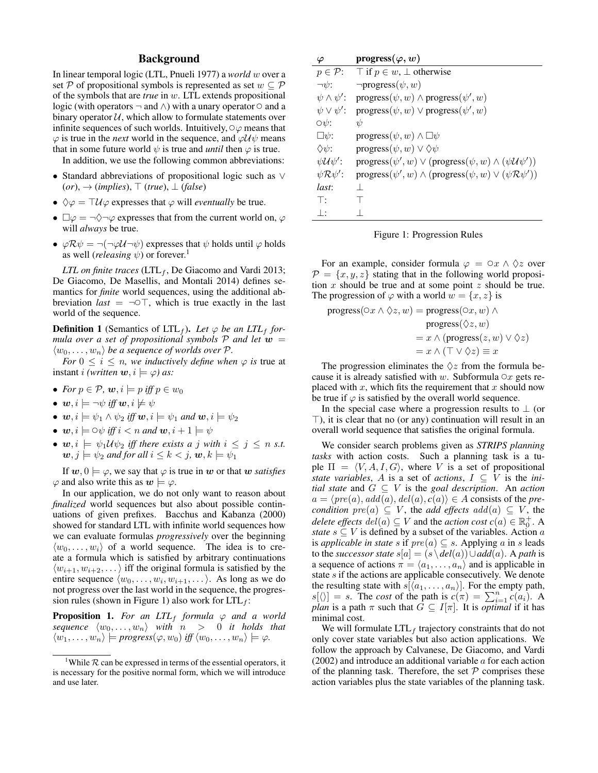## Background

In linear temporal logic (LTL, Pnueli 1977) a *world* w over a set P of propositional symbols is represented as set  $w \subseteq P$ of the symbols that are *true* in w. LTL extends propositional logic (with operators  $\neg$  and  $\wedge$ ) with a unary operator  $\circ$  and a binary operator  $U$ , which allow to formulate statements over infinite sequences of such worlds. Intuitively,  $\circ\varphi$  means that  $\varphi$  is true in the *next* world in the sequence, and  $\varphi \mathcal{U} \psi$  means that in some future world  $\psi$  is true and *until* then  $\varphi$  is true.

In addition, we use the following common abbreviations:

- Standard abbreviations of propositional logic such as ∨  $(or) \rightarrow (implies), \top (true), \bot (false)$
- $\Diamond \varphi = \top \mathcal{U} \varphi$  expresses that  $\varphi$  will *eventually* be true.
- $\Box \varphi = \neg \Diamond \neg \varphi$  expresses that from the current world on,  $\varphi$ will *always* be true.
- $\varphi \mathcal{R} \psi = \neg(\neg \varphi \mathcal{U} \neg \psi)$  expresses that  $\psi$  holds until  $\varphi$  holds as well (*releasing*  $\psi$ ) or forever.<sup>1</sup>

*LTL on finite traces* (LTL<sub>f</sub>, De Giacomo and Vardi 2013; De Giacomo, De Masellis, and Montali 2014) defines semantics for *finite* world sequences, using the additional abbreviation *last* =  $\neg$  $\bigcirc$  $\top$ , which is true exactly in the last world of the sequence.

**Definition 1** (Semantics of  $LTL_f$ ). Let  $\varphi$  be an  $LTL_f$  for*mula over a set of propositional symbols*  $P$  *and let*  $w =$  $\langle w_0, \ldots, w_n \rangle$  *be a sequence of worlds over*  $\mathcal{P}$ *.* 

*For*  $0 \le i \le n$ *, we inductively define when*  $\varphi$  *is true at* instant *i (written*  $\mathbf{w}, i \models \varphi$ *)* as:

- *For*  $p \in \mathcal{P}$ ,  $\boldsymbol{w}, i \models p$  *iff*  $p \in w_0$
- $\mathbf{w}, i \models \neg \psi$  *iff*  $\mathbf{w}, i \not\models \psi$
- $\mathbf{w}, i \models \psi_1 \land \psi_2$  *iff*  $\mathbf{w}, i \models \psi_1$  *and*  $\mathbf{w}, i \models \psi_2$
- $w, i \models \bigcirc \psi$  *iff*  $i < n$  *and*  $w, i + 1 \models \psi$
- $w, i \models \psi_1 \mathcal{U} \psi_2$  *iff there exists a j with*  $i \leq j \leq n$  *s.t.*  $\boldsymbol{w}, j \models \psi_2$  and for all  $i \leq k < j$ ,  $\boldsymbol{w}, k \models \psi_1$

If  $w, 0 \models \varphi$ , we say that  $\varphi$  is true in w or that w *satisfies*  $\varphi$  and also write this as  $w \models \varphi$ .

In our application, we do not only want to reason about *finalized* world sequences but also about possible continuations of given prefixes. Bacchus and Kabanza (2000) showed for standard LTL with infinite world sequences how we can evaluate formulas *progressively* over the beginning  $\langle w_0, \ldots, w_i \rangle$  of a world sequence. The idea is to create a formula which is satisfied by arbitrary continuations  $\langle w_{i+1}, w_{i+2}, \dots \rangle$  iff the original formula is satisfied by the entire sequence  $\langle w_0, \ldots, w_i, w_{i+1}, \ldots \rangle$ . As long as we do not progress over the last world in the sequence, the progression rules (shown in Figure 1) also work for  $LTL_f$ :

**Proposition 1.** For an  $LTL_f$  formula  $\varphi$  and a world *sequence*  $\langle w_0, \ldots, w_n \rangle$  *with*  $n > 0$  *it holds that*  $\langle w_1, \ldots, w_n \rangle \models progress(\varphi, w_0) \text{ iff } \langle w_0, \ldots, w_n \rangle \models \varphi.$ 

| $\varphi$                  | $\mathop{\rm progress}\nolimits(\varphi,w)$                                   |
|----------------------------|-------------------------------------------------------------------------------|
| $p \in \mathcal{P}$ :      | $\top$ if $p \in w$ , $\bot$ otherwise                                        |
| $\neg\psi$ :               | $\neg progress(\psi, w)$                                                      |
| $\psi \wedge \psi'$ :      | $progress(\psi, w) \wedge progress(\psi', w)$                                 |
| $\psi \vee \psi'$ :        | $progress(\psi, w) \vee progress(\psi', w)$                                   |
| $\circ \psi$ :             | $\psi$                                                                        |
| $\Box \psi$ :              | $\text{progress}(\psi, w) \wedge \Box \psi$                                   |
| $\Diamond \psi$ :          | $\text{progress}(\psi, w) \vee \Diamond \psi$                                 |
| $\psi \mathcal{U} \psi'$ : | $progress(\psi', w) \vee (progress(\psi, w) \wedge (\psi \mathcal{U} \psi'))$ |
| $\psi \mathcal{R} \psi'$ : | $progress(\psi', w) \wedge (progress(\psi, w) \vee (\psi \mathcal{R}\psi'))$  |
| last:                      | $\mathbf{1}$                                                                  |
| $\top$ :                   | т                                                                             |
| $\perp$ :                  |                                                                               |

Figure 1: Progression Rules

For an example, consider formula  $\varphi = \varphi x \wedge \varphi z$  over  $\mathcal{P} = \{x, y, z\}$  stating that in the following world proposition  $x$  should be true and at some point  $z$  should be true. The progression of  $\varphi$  with a world  $w = \{x, z\}$  is

progress(○x ∧ ∞z, w) = progress(○x, w) ∧

\n
$$
progress(○z, w)
$$
\n
$$
= x ∧ (progress(z, w) ∨ ∞z)
$$
\n
$$
= x ∧ (T ∨ ∞z) ≡ x
$$

The progression eliminates the  $\Diamond z$  from the formula because it is already satisfied with w. Subformula  $\circ x$  gets replaced with  $x$ , which fits the requirement that  $x$  should now be true if  $\varphi$  is satisfied by the overall world sequence.

In the special case where a progression results to  $\perp$  (or  $\top$ ), it is clear that no (or any) continuation will result in an overall world sequence that satisfies the original formula.

We consider search problems given as *STRIPS planning tasks* with action costs. Such a planning task is a tuple  $\Pi = \langle V, A, I, G \rangle$ , where V is a set of propositional *state variables*, A is a set of *actions*,  $I \subseteq V$  is the *initial state* and  $G \subseteq V$  is the *goal description*. An *action*  $a = \langle pre(a), add(a), del(a), c(a) \rangle \in A$  consists of the *precondition*  $pre(a) \subseteq V$ , the *add effects*  $add(a) \subseteq V$ , the *delete effects*  $del(a) \subseteq V$  and the *action cost*  $c(a) \in \mathbb{R}_0^+$ . A *state*  $s \subseteq V$  is defined by a subset of the variables. Action a is *applicable in state* s if  $pre(a) \subseteq s$ . Applying a in s leads to the *successor state*  $s[a] = (s \ \delta a)(a) \cup add(a)$ . A path is a sequence of actions  $\pi = \langle a_1, \ldots, a_n \rangle$  and is applicable in state s if the actions are applicable consecutively. We denote the resulting state with  $s[\langle a_1, \ldots, a_n \rangle]$ . For the empty path,  $s[\langle \rangle] = s$ . The *cost* of the path is  $c(\pi) = \sum_{i=1}^{n} c(a_i)$ . A *plan* is a path  $\pi$  such that  $G \subseteq I[\pi]$ . It is *optimal* if it has minimal cost.

We will formulate  $LTL<sub>f</sub>$  trajectory constraints that do not only cover state variables but also action applications. We follow the approach by Calvanese, De Giacomo, and Vardi  $(2002)$  and introduce an additional variable  $a$  for each action of the planning task. Therefore, the set  $P$  comprises these action variables plus the state variables of the planning task.

<sup>&</sup>lt;sup>1</sup>While R can be expressed in terms of the essential operators, it is necessary for the positive normal form, which we will introduce and use later.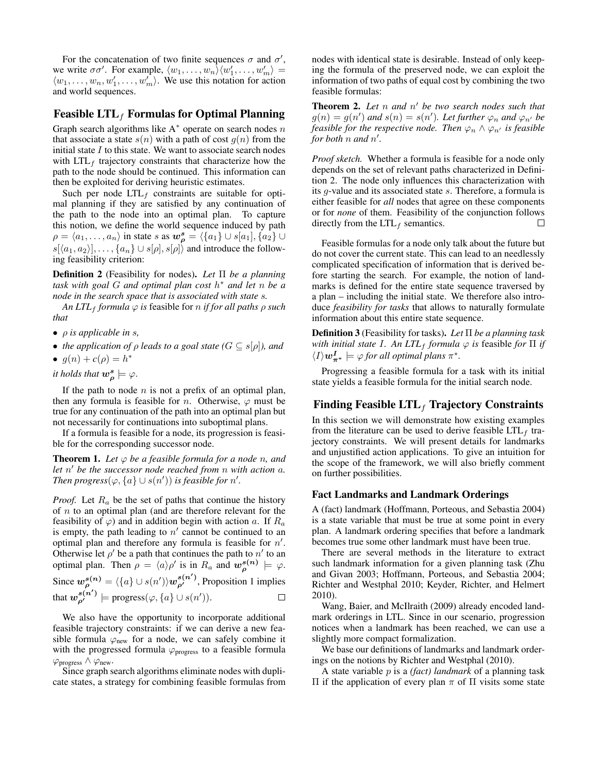For the concatenation of two finite sequences  $\sigma$  and  $\sigma'$ , we write  $\sigma\sigma'$ . For example,  $\langle w_1, \ldots, w_n \rangle \langle w'_1, \ldots, w'_m \rangle =$  $\langle w_1, \ldots, w_n, w'_1, \ldots, w'_m \rangle$ . We use this notation for action and world sequences.

## Feasible  $LTL<sub>f</sub>$  Formulas for Optimal Planning

Graph search algorithms like  $A^*$  operate on search nodes n that associate a state  $s(n)$  with a path of cost  $g(n)$  from the initial state  $I$  to this state. We want to associate search nodes with  $LTL<sub>f</sub>$  trajectory constraints that characterize how the path to the node should be continued. This information can then be exploited for deriving heuristic estimates.

Such per node  $LTL<sub>f</sub>$  constraints are suitable for optimal planning if they are satisfied by any continuation of the path to the node into an optimal plan. To capture this notion, we define the world sequence induced by path  $\rho = \langle a_1, \ldots, a_n \rangle$  in state s as  $w_\rho^s = \langle \{a_1\} \cup s[a_1], \{a_2\} \cup \{a_3\} \rangle$  $s[\langle a_1, a_2 \rangle], \ldots, \{a_n\} \cup s[\rho], s[\rho] \rangle$  and introduce the following feasibility criterion:

Definition 2 (Feasibility for nodes). *Let* Π *be a planning task with goal* G *and optimal plan cost* h <sup>∗</sup> *and let* n *be a node in the search space that is associated with state* s*.*

*An LTL*<sub>f</sub> *formula*  $\varphi$  *is* feasible for *n if for all paths*  $\rho$  *such that*

- ρ *is applicable in* s*,*
- *the application of*  $\rho$  *leads to a goal state*  $(G \subseteq s[\rho])$ *, and*
- $g(n) + c(\rho) = h^*$

*it holds that*  $w_\rho^s \models \varphi$ .

If the path to node  $n$  is not a prefix of an optimal plan, then any formula is feasible for *n*. Otherwise,  $\varphi$  must be true for any continuation of the path into an optimal plan but not necessarily for continuations into suboptimal plans.

If a formula is feasible for a node, its progression is feasible for the corresponding successor node.

**Theorem 1.** Let  $\varphi$  be a feasible formula for a node n, and *let* n <sup>0</sup> *be the successor node reached from* n *with action* a*. Then progress* $(\varphi, \{a\} \cup s(n'))$  *is feasible for*  $n'.$ 

*Proof.* Let  $R_a$  be the set of paths that continue the history of  $n$  to an optimal plan (and are therefore relevant for the feasibility of  $\varphi$ ) and in addition begin with action a. If  $R_a$ is empty, the path leading to  $n'$  cannot be continued to an optimal plan and therefore any formula is feasible for  $n'$ . Otherwise let  $\rho'$  be a path that continues the path to  $n'$  to an optimal plan. Then  $\rho = \langle a \rangle \rho'$  is in  $R_a$  and  $w_{\rho}^{s(n)} \models \varphi$ . Since  $w_{\rho}^{s(n)} = \langle \{a\} \cup s(n') \rangle w_{\rho'}^{s(n')}$ , Proposition 1 implies that  $w_{\rho'}^{s(n')}$   $\models$  progress $(\varphi, \{a\} \cup s(n')).$  $\Box$ 

We also have the opportunity to incorporate additional feasible trajectory constraints: if we can derive a new feasible formula  $\varphi_{\text{new}}$  for a node, we can safely combine it with the progressed formula  $\varphi$ <sub>progress</sub> to a feasible formula</sub>  $\varphi$ <sub>progress</sub>  $\wedge \varphi_{\text{new}}$ .

Since graph search algorithms eliminate nodes with duplicate states, a strategy for combining feasible formulas from

nodes with identical state is desirable. Instead of only keeping the formula of the preserved node, we can exploit the information of two paths of equal cost by combining the two feasible formulas:

**Theorem 2.** Let n and n' be two search nodes such that  $g(n) = g(n')$  and  $s(n) = s(n')$ . Let further  $\varphi_n$  and  $\varphi_{n'}$  be *feasible for the respective node. Then*  $\varphi_n \wedge \varphi_{n'}$  *is feasible for both* n *and* n 0 *.*

*Proof sketch.* Whether a formula is feasible for a node only depends on the set of relevant paths characterized in Definition 2. The node only influences this characterization with its g-value and its associated state s. Therefore, a formula is either feasible for *all* nodes that agree on these components or for *none* of them. Feasibility of the conjunction follows directly from the  $LTL_f$  semantics.  $\Box$ 

Feasible formulas for a node only talk about the future but do not cover the current state. This can lead to an needlessly complicated specification of information that is derived before starting the search. For example, the notion of landmarks is defined for the entire state sequence traversed by a plan – including the initial state. We therefore also introduce *feasibility for tasks* that allows to naturally formulate information about this entire state sequence.

Definition 3 (Feasibility for tasks). *Let* Π *be a planning task with initial state I. An LTL*<sub>f</sub> *formula*  $\varphi$  *is* feasible *for*  $\Pi$  *if*  $\langle I \rangle \boldsymbol{w}_{\boldsymbol{\pi^*}}^I \models \varphi$  *for all optimal plans*  $\pi^*$ .

Progressing a feasible formula for a task with its initial state yields a feasible formula for the initial search node.

## Finding Feasible  $LTL_f$  Trajectory Constraints

In this section we will demonstrate how existing examples from the literature can be used to derive feasible  $LTL<sub>f</sub>$  trajectory constraints. We will present details for landmarks and unjustified action applications. To give an intuition for the scope of the framework, we will also briefly comment on further possibilities.

#### Fact Landmarks and Landmark Orderings

A (fact) landmark (Hoffmann, Porteous, and Sebastia 2004) is a state variable that must be true at some point in every plan. A landmark ordering specifies that before a landmark becomes true some other landmark must have been true.

There are several methods in the literature to extract such landmark information for a given planning task (Zhu and Givan 2003; Hoffmann, Porteous, and Sebastia 2004; Richter and Westphal 2010; Keyder, Richter, and Helmert 2010).

Wang, Baier, and McIlraith (2009) already encoded landmark orderings in LTL. Since in our scenario, progression notices when a landmark has been reached, we can use a slightly more compact formalization.

We base our definitions of landmarks and landmark orderings on the notions by Richter and Westphal (2010).

A state variable p is a *(fact) landmark* of a planning task Π if the application of every plan π of Π visits some state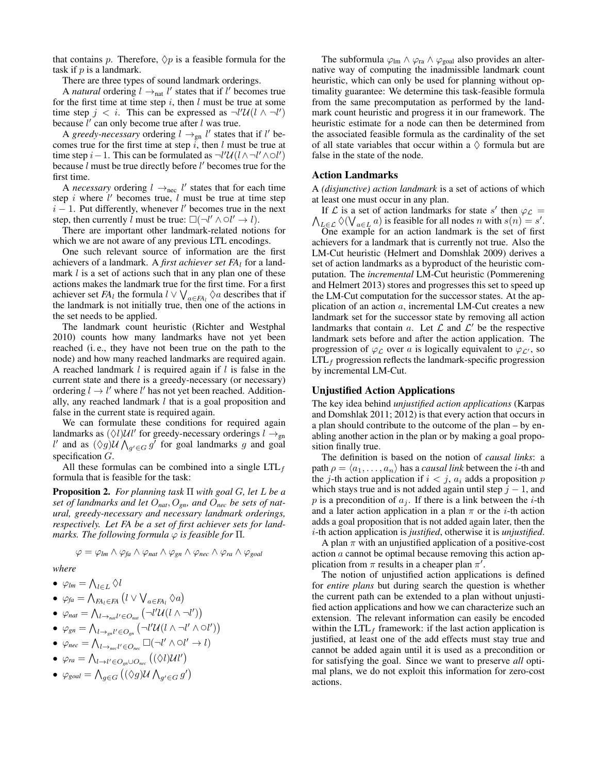that contains p. Therefore,  $\Diamond p$  is a feasible formula for the task if  $p$  is a landmark.

There are three types of sound landmark orderings.

A *natural* ordering  $l \rightarrow_{nat} l'$  states that if l' becomes true for the first time at time step  $i$ , then  $l$  must be true at some time step  $j < i$ . This can be expressed as  $\neg l' \mathcal{U}(l \wedge \neg l')$ because  $l'$  can only become true after l was true.

A *greedy-necessary* ordering  $l \rightarrow_{gn} l'$  states that if l' becomes true for the first time at step  $i$ , then l must be true at time step *i* – 1. This can be formulated as  $\neg l' \mathcal{U}(l \wedge \neg l' \wedge \bigcirc l')$ because  $l$  must be true directly before  $l'$  becomes true for the first time.

A *necessary* ordering  $l \rightarrow_{\text{nec}} l'$  states that for each time step  $i$  where  $l'$  becomes true,  $l$  must be true at time step  $i - 1$ . Put differently, whenever l' becomes true in the next step, then currently  $\hat{l}$  must be true:  $\square(\neg l' \wedge \bigcirc l' \rightarrow l)$ .

There are important other landmark-related notions for which we are not aware of any previous LTL encodings.

One such relevant source of information are the first achievers of a landmark. A *first achiever set FA*<sup>l</sup> for a landmark  $l$  is a set of actions such that in any plan one of these actions makes the landmark true for the first time. For a first achiever set *FA*<sup>l</sup> the formula  $l \vee \bigvee_{a \in FA_l} \Diamond a$  describes that if the landmark is not initially true, then one of the actions in the set needs to be applied.

The landmark count heuristic (Richter and Westphal 2010) counts how many landmarks have not yet been reached (i. e., they have not been true on the path to the node) and how many reached landmarks are required again. A reached landmark  $l$  is required again if  $l$  is false in the current state and there is a greedy-necessary (or necessary) ordering  $l \rightarrow l'$  where l' has not yet been reached. Additionally, any reached landmark  $l$  that is a goal proposition and false in the current state is required again.

We can formulate these conditions for required again landmarks as  $(\Diamond l)$ UU' for greedy-necessary orderings  $l \rightarrow_{gn}$ l' and as  $(\Diamond g)$ U $\bigwedge_{g' \in G} g'$  for goal landmarks g and goal specification G.

All these formulas can be combined into a single  $LTL<sub>f</sub>$ formula that is feasible for the task:

Proposition 2. *For planning task* Π *with goal* G*, let* L *be a set of landmarks and let* O*nat*, O*gn, and* O*nec be sets of natural, greedy-necessary and necessary landmark orderings, respectively. Let FA be a set of first achiever sets for landmarks. The following formula*  $\varphi$  *is feasible for*  $\Pi$ *.* 

$$
\varphi = \varphi_{lm} \wedge \varphi_{fa} \wedge \varphi_{nat} \wedge \varphi_{gn} \wedge \varphi_{nec} \wedge \varphi_{ra} \wedge \varphi_{goal}
$$

*where*

$$
\bullet \ \varphi_{lm} = \bigwedge_{l \in L} \Diamond l
$$

- $\bullet$   $\varphi_{fa} = \bigwedge_{FA_l \in FA} (l \vee \bigvee_{a \in FA_l} \Diamond a)$
- $\bullet$   $\varphi_{nat} = \bigwedge_{l \to_{nat} l' \in O_{nat}} (\neg l' \mathcal{U}(l \wedge \neg l'))$
- $\bullet$   $\varphi_{gn} = \bigwedge_{l \to_{gn}l' \in O_{gn}} (\neg l' \mathcal{U}(l \wedge \neg l' \wedge \bigcirc l'))$
- $\bullet$   $\varphi_{\text{nec}} = \bigwedge_{l \to_{\text{nec}} l' \in O_{\text{nec}}} \Box(\neg l' \land \bigcirc l' \to l)$
- $\bullet$   $\varphi_{ra} = \bigwedge_{l \to l' \in O_{gn} \cup O_{nec}} ((\Diamond l) \mathcal{U} l')$
- $\varphi_{goal} = \bigwedge_{g \in G} ((\Diamond g) \mathcal{U} \bigwedge_{g' \in G} g')$

The subformula  $\varphi_{lm} \wedge \varphi_{ra} \wedge \varphi_{goal}$  also provides an alternative way of computing the inadmissible landmark count heuristic, which can only be used for planning without optimality guarantee: We determine this task-feasible formula from the same precomputation as performed by the landmark count heuristic and progress it in our framework. The heuristic estimate for a node can then be determined from the associated feasible formula as the cardinality of the set of all state variables that occur within a  $\Diamond$  formula but are false in the state of the node.

#### Action Landmarks

A *(disjunctive) action landmark* is a set of actions of which at least one must occur in any plan.

If  $\mathcal L$  is a set of action landmarks for state s' then  $\varphi_{\mathcal L} =$  $\bigwedge_{L \in \mathcal{L}} \Diamond(\bigvee_{a \in L} a)$  is feasible for all nodes n with  $s(n) = s'$ .

One example for an action landmark is the set of first achievers for a landmark that is currently not true. Also the LM-Cut heuristic (Helmert and Domshlak 2009) derives a set of action landmarks as a byproduct of the heuristic computation. The *incremental* LM-Cut heuristic (Pommerening and Helmert 2013) stores and progresses this set to speed up the LM-Cut computation for the successor states. At the application of an action a, incremental LM-Cut creates a new landmark set for the successor state by removing all action landmarks that contain a. Let  $\mathcal L$  and  $\mathcal L'$  be the respective landmark sets before and after the action application. The progression of  $\varphi_{\mathcal{L}}$  over a is logically equivalent to  $\varphi_{\mathcal{L}}$ , so  $LTL_f$  progression reflects the landmark-specific progression by incremental LM-Cut.

#### Unjustified Action Applications

The key idea behind *unjustified action applications* (Karpas and Domshlak 2011; 2012) is that every action that occurs in a plan should contribute to the outcome of the plan – by enabling another action in the plan or by making a goal proposition finally true.

The definition is based on the notion of *causal links*: a path  $\rho = \langle a_1, \ldots, a_n \rangle$  has a *causal link* between the *i*-th and the j-th action application if  $i < j$ ,  $a_i$  adds a proposition p which stays true and is not added again until step  $j - 1$ , and p is a precondition of  $a_i$ . If there is a link between the *i*-th and a later action application in a plan  $\pi$  or the *i*-th action adds a goal proposition that is not added again later, then the i-th action application is *justified*, otherwise it is *unjustified*.

A plan  $\pi$  with an unjustified application of a positive-cost action a cannot be optimal because removing this action application from  $\pi$  results in a cheaper plan  $\pi'$ .

The notion of unjustified action applications is defined for *entire plans* but during search the question is whether the current path can be extended to a plan without unjustified action applications and how we can characterize such an extension. The relevant information can easily be encoded within the  $LTL<sub>f</sub>$  framework: if the last action application is justified, at least one of the add effects must stay true and cannot be added again until it is used as a precondition or for satisfying the goal. Since we want to preserve *all* optimal plans, we do not exploit this information for zero-cost actions.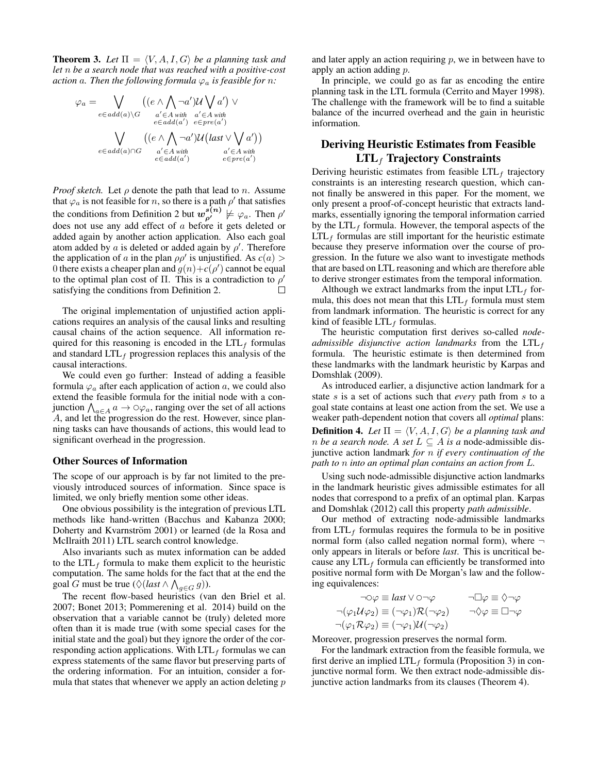**Theorem 3.** Let  $\Pi = \langle V, A, I, G \rangle$  be a planning task and *let* n *be a search node that was reached with a positive-cost action* a. Then the following formula  $\varphi_a$  is feasible for n:

$$
\varphi_a = \bigvee_{e \in add(a) \setminus G} ((e \land \bigwedge_{a' \in A} \neg a') \mathcal{U} \bigvee_{a' \in A} \neg a' \bigvee_{e \in add(a')} \neg a' \in A \land \neg a' \land \neg a \land \neg a' \land \neg a' \land \neg a' \land \neg a' \land \neg a' \land \neg a' \land \neg a' \in A \land \neg a' \in A \land \neg a' \in A \land \neg a' \in A \land \neg a' \in A \land \neg a' \in A \land \neg a' \in A \land \neg a' \in A \land \neg a' \in A \land \neg a' \in A \land \neg a' \in A \land \neg a' \in A \land \neg a' \in A \land \neg a' \in A \land \neg a' \in A \land \neg a' \in A \land \neg a' \in A \land \neg a' \in A \land \neg a' \in A \land \neg a' \in A \land \neg a' \in A \land \neg a' \in A \land \neg a' \in A \land \neg a' \in A \land \neg a' \in A \land \neg a' \in A \land \neg a' \in A \land \neg a' \in A \land \neg a' \in A \land \neg a' \in A \land \neg a' \in A \land \neg a' \in A \land \neg a' \in A \land \neg a' \land \neg a' \in A \land \neg a' \in A \land \neg a' \in A \land \neg a' \in A \land \neg a' \in A \land \neg a' \in A \land \neg a' \in A \land \neg a' \in A \land \neg a' \in A \land \neg a' \in A \land \neg a' \in A \land \neg a' \in A \land \neg a' \in A \land \neg a' \in A \land \neg a' \in A \land \neg a' \in A \land \neg a' \in A \land \neg a' \in A \land \neg a' \in A \land \neg a' \in A \land \neg a' \in A \land \neg a' \in A \land \neg a' \in A \land \neg a' \in A \land \neg a' \in A \land \neg a' \in A \land \neg a' \in A \land \neg a' \in A \land \neg a' \in A \land \neg a' \in A \land \neg a' \in A \land \neg a' \in A \land \neg a' \in A \land \neg a' \in A \land \neg a' \in A \land \neg a' \in A \land \neg a' \
$$

*Proof sketch.* Let  $\rho$  denote the path that lead to n. Assume that  $\varphi_a$  is not feasible for *n*, so there is a path  $\rho'$  that satisfies the conditions from Definition 2 but  $w_{\rho'}^{s(n)} \not\models \varphi_a$ . Then  $\rho'$ does not use any add effect of a before it gets deleted or added again by another action application. Also each goal atom added by a is deleted or added again by  $\rho'$ . Therefore the application of a in the plan  $\rho \rho'$  is unjustified. As  $c(a)$ 0 there exists a cheaper plan and  $g(n)+c(\rho')$  cannot be equal to the optimal plan cost of  $\Pi$ . This is a contradiction to  $\rho'$  $\Box$ satisfying the conditions from Definition 2.

The original implementation of unjustified action applications requires an analysis of the causal links and resulting causal chains of the action sequence. All information required for this reasoning is encoded in the  $LTL_f$  formulas and standard  $LTL<sub>f</sub>$  progression replaces this analysis of the causal interactions.

We could even go further: Instead of adding a feasible formula  $\varphi_a$  after each application of action a, we could also extend the feasible formula for the initial node with a conjunction  $\bigwedge_{a \in A} a \to \circ \varphi_a$ , ranging over the set of all actions A, and let the progression do the rest. However, since planning tasks can have thousands of actions, this would lead to significant overhead in the progression.

#### Other Sources of Information

The scope of our approach is by far not limited to the previously introduced sources of information. Since space is limited, we only briefly mention some other ideas.

One obvious possibility is the integration of previous LTL methods like hand-written (Bacchus and Kabanza 2000; Doherty and Kvarnström 2001) or learned (de la Rosa and McIlraith 2011) LTL search control knowledge.

Also invariants such as mutex information can be added to the  $LTL_f$  formula to make them explicit to the heuristic computation. The same holds for the fact that at the end the goal G must be true ( $\Diamond$ (*last*  $\land$   $\bigwedge_{g \in G} g$ )).

The recent flow-based heuristics (van den Briel et al. 2007; Bonet 2013; Pommerening et al. 2014) build on the observation that a variable cannot be (truly) deleted more often than it is made true (with some special cases for the initial state and the goal) but they ignore the order of the corresponding action applications. With  $LTL_f$  formulas we can express statements of the same flavor but preserving parts of the ordering information. For an intuition, consider a formula that states that whenever we apply an action deleting  $p$ 

and later apply an action requiring  $p$ , we in between have to apply an action adding p.

In principle, we could go as far as encoding the entire planning task in the LTL formula (Cerrito and Mayer 1998). The challenge with the framework will be to find a suitable balance of the incurred overhead and the gain in heuristic information.

## Deriving Heuristic Estimates from Feasible  $LTL<sub>f</sub>$  Trajectory Constraints

Deriving heuristic estimates from feasible  $LTL_f$  trajectory constraints is an interesting research question, which cannot finally be answered in this paper. For the moment, we only present a proof-of-concept heuristic that extracts landmarks, essentially ignoring the temporal information carried by the  $LTL<sub>f</sub>$  formula. However, the temporal aspects of the  $LTL<sub>f</sub>$  formulas are still important for the heuristic estimate because they preserve information over the course of progression. In the future we also want to investigate methods that are based on LTL reasoning and which are therefore able to derive stronger estimates from the temporal information.

Although we extract landmarks from the input  $LTL<sub>f</sub>$  formula, this does not mean that this  $LTL_f$  formula must stem from landmark information. The heuristic is correct for any kind of feasible  $LTL_f$  formulas.

The heuristic computation first derives so-called *nodeadmissible disjunctive action landmarks* from the  $LTL_f$ formula. The heuristic estimate is then determined from these landmarks with the landmark heuristic by Karpas and Domshlak (2009).

As introduced earlier, a disjunctive action landmark for a state s is a set of actions such that *every* path from s to a goal state contains at least one action from the set. We use a weaker path-dependent notion that covers all *optimal* plans: **Definition 4.** Let  $\Pi = \langle V, A, I, G \rangle$  be a planning task and *n be a search node.* A *set*  $L \subseteq A$  *is a* node-admissible disjunctive action landmark *for* n *if every continuation of the path to* n *into an optimal plan contains an action from* L*.*

Using such node-admissible disjunctive action landmarks in the landmark heuristic gives admissible estimates for all nodes that correspond to a prefix of an optimal plan. Karpas and Domshlak (2012) call this property *path admissible*.

Our method of extracting node-admissible landmarks from  $LTL_f$  formulas requires the formula to be in positive normal form (also called negation normal form), where  $\neg$ only appears in literals or before *last*. This is uncritical because any  $LTL_f$  formula can efficiently be transformed into positive normal form with De Morgan's law and the following equivalences:

$$
\neg \circ \varphi \equiv last \lor \circ \neg \varphi \qquad \neg \Box \varphi \equiv \Diamond \neg \varphi
$$
  

$$
\neg (\varphi_1 \mathcal{U} \varphi_2) \equiv (\neg \varphi_1) \mathcal{R} (\neg \varphi_2) \qquad \neg \Diamond \varphi \equiv \Box \neg \varphi
$$
  

$$
\neg (\varphi_1 \mathcal{R} \varphi_2) \equiv (\neg \varphi_1) \mathcal{U} (\neg \varphi_2)
$$

Moreover, progression preserves the normal form.

For the landmark extraction from the feasible formula, we first derive an implied  $LTL_f$  formula (Proposition 3) in conjunctive normal form. We then extract node-admissible disjunctive action landmarks from its clauses (Theorem 4).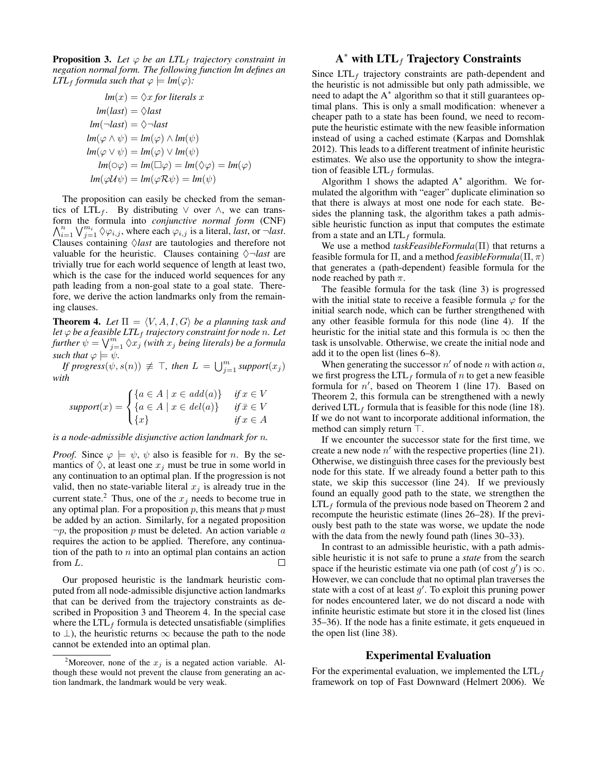**Proposition 3.** Let  $\varphi$  be an LTL<sub>f</sub> trajectory constraint in *negation normal form. The following function lm defines an LTL*<sub>f</sub> *formula such that*  $\varphi \models lm(\varphi)$ *:* 

$$
lm(x) = \Diamond x \text{ for literals } x
$$
  
\n
$$
lm(last) = \Diamond last
$$
  
\n
$$
lm(\neg last) = \Diamond \neg last
$$
  
\n
$$
lm(\varphi \land \psi) = lm(\varphi) \land lm(\psi)
$$
  
\n
$$
lm(\varphi \lor \psi) = lm(\varphi) \lor lm(\psi)
$$
  
\n
$$
lm(\varphi \varphi) = lm(\Box \varphi) = lm(\Diamond \varphi) = lm(\varphi)
$$
  
\n
$$
lm(\varphi U\psi) = lm(\varphi R\psi) = lm(\psi)
$$

The proposition can easily be checked from the semantics of LTL<sub>f</sub>. By distributing  $\vee$  over  $\wedge$ , we can transform the formula into *conjunctive normal form* (CNF)  $\bigwedge_{i=1}^{n} \bigvee_{j=1}^{m_i} \Diamond \varphi_{i,j}$ , where each  $\varphi_{i,j}$  is a literal, *last*, or  $\neg$ *last*. Clauses containing  $\Diamond$ *last* are tautologies and therefore not valuable for the heuristic. Clauses containing  $\Diamond \neg \text{last}$  are trivially true for each world sequence of length at least two, which is the case for the induced world sequences for any path leading from a non-goal state to a goal state. Therefore, we derive the action landmarks only from the remaining clauses.

**Theorem 4.** Let  $\Pi = \langle V, A, I, G \rangle$  be a planning task and *let*  $\varphi$  *be a feasible LTL<sub>f</sub> trajectory constraint for node n. Let* further  $\psi = \bigvee_{j=1}^m \Diamond x_j$  *(with*  $x_j$  *being literals) be a formula such that*  $\varphi \models \psi$ *.* 

*If progress* $(\psi, s(n)) \neq \top$ , then  $L = \bigcup_{j=1}^m support(x_j)$ *with*

$$
support(x) = \begin{cases} \{a \in A \mid x \in add(a)\} & \text{if } x \in V \\ \{a \in A \mid x \in del(a)\} & \text{if } \bar{x} \in V \\ \{x\} & \text{if } x \in A \end{cases}
$$

*is a node-admissible disjunctive action landmark for* n*.*

*Proof.* Since  $\varphi \models \psi$ ,  $\psi$  also is feasible for *n*. By the semantics of  $\Diamond$ , at least one  $x_i$  must be true in some world in any continuation to an optimal plan. If the progression is not valid, then no state-variable literal  $x_j$  is already true in the current state.<sup>2</sup> Thus, one of the  $x_i$  needs to become true in any optimal plan. For a proposition  $p$ , this means that  $p$  must be added by an action. Similarly, for a negated proposition  $\neg p$ , the proposition p must be deleted. An action variable a requires the action to be applied. Therefore, any continuation of the path to  $n$  into an optimal plan contains an action from L. □

Our proposed heuristic is the landmark heuristic computed from all node-admissible disjunctive action landmarks that can be derived from the trajectory constraints as described in Proposition 3 and Theorem 4. In the special case where the  $LTL_f$  formula is detected unsatisfiable (simplifies to  $\perp$ ), the heuristic returns  $\infty$  because the path to the node cannot be extended into an optimal plan.

# $\mathbf{A}^*$  with  $\mathbf{LTL}_f$  Trajectory Constraints

Since  $LTL<sub>f</sub>$  trajectory constraints are path-dependent and the heuristic is not admissible but only path admissible, we need to adapt the  $A^*$  algorithm so that it still guarantees optimal plans. This is only a small modification: whenever a cheaper path to a state has been found, we need to recompute the heuristic estimate with the new feasible information instead of using a cached estimate (Karpas and Domshlak 2012). This leads to a different treatment of infinite heuristic estimates. We also use the opportunity to show the integration of feasible  $LTL_f$  formulas.

Algorithm 1 shows the adapted  $A^*$  algorithm. We formulated the algorithm with "eager" duplicate elimination so that there is always at most one node for each state. Besides the planning task, the algorithm takes a path admissible heuristic function as input that computes the estimate from a state and an  $LTL_f$  formula.

We use a method *taskFeasibleFormula*(Π) that returns a feasible formula for  $\Pi$ , and a method *feasibleFormula*( $\Pi$ ,  $\pi$ ) that generates a (path-dependent) feasible formula for the node reached by path  $\pi$ .

The feasible formula for the task (line 3) is progressed with the initial state to receive a feasible formula  $\varphi$  for the initial search node, which can be further strengthened with any other feasible formula for this node (line 4). If the heuristic for the initial state and this formula is  $\infty$  then the task is unsolvable. Otherwise, we create the initial node and add it to the open list (lines 6–8).

When generating the successor  $n'$  of node n with action a, we first progress the  $LTL_f$  formula of n to get a new feasible formula for  $n'$ , based on Theorem 1 (line 17). Based on Theorem 2, this formula can be strengthened with a newly derived  $LTL_f$  formula that is feasible for this node (line 18). If we do not want to incorporate additional information, the method can simply return  $\top$ .

If we encounter the successor state for the first time, we create a new node  $n'$  with the respective properties (line 21). Otherwise, we distinguish three cases for the previously best node for this state. If we already found a better path to this state, we skip this successor (line 24). If we previously found an equally good path to the state, we strengthen the  $LTL<sub>f</sub>$  formula of the previous node based on Theorem 2 and recompute the heuristic estimate (lines 26–28). If the previously best path to the state was worse, we update the node with the data from the newly found path (lines 30–33).

In contrast to an admissible heuristic, with a path admissible heuristic it is not safe to prune a *state* from the search space if the heuristic estimate via one path (of cost  $g'$ ) is  $\infty$ . However, we can conclude that no optimal plan traverses the state with a cost of at least  $g'$ . To exploit this pruning power for nodes encountered later, we do not discard a node with infinite heuristic estimate but store it in the closed list (lines 35–36). If the node has a finite estimate, it gets enqueued in the open list (line 38).

#### Experimental Evaluation

For the experimental evaluation, we implemented the  $LTL<sub>f</sub>$ framework on top of Fast Downward (Helmert 2006). We

<sup>&</sup>lt;sup>2</sup>Moreover, none of the  $x_j$  is a negated action variable. Although these would not prevent the clause from generating an action landmark, the landmark would be very weak.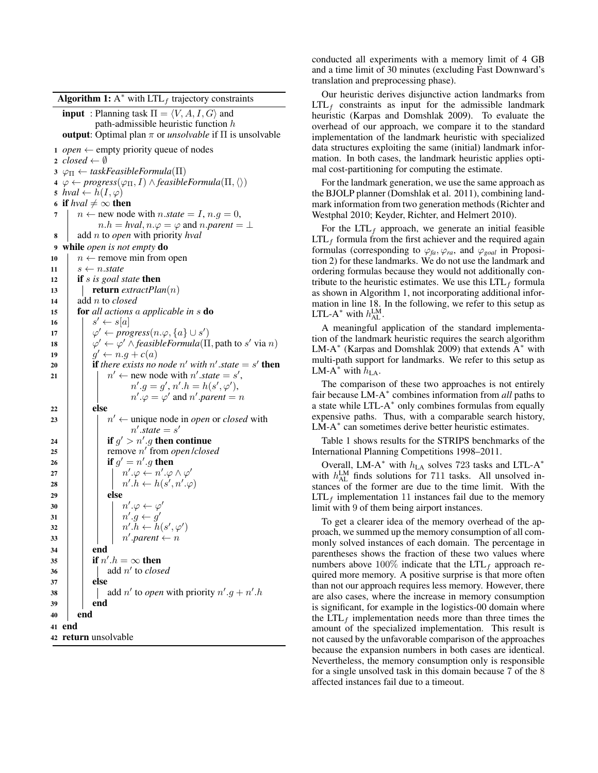| <b>input</b> : Planning task $\Pi = \langle V, A, I, G \rangle$ and<br>path-admissible heuristic function $h$<br>output: Optimal plan $\pi$ or <i>unsolvable</i> if $\Pi$ is unsolvable<br>1 <i>open</i> $\leftarrow$ empty priority queue of nodes<br>2 closed $\leftarrow \emptyset$<br>$3 \varphi_{\Pi} \leftarrow$ taskFeasibleFormula( $\Pi$ )<br>$4 \varphi \leftarrow progress(\varphi_{\Pi}, I) \wedge feasibleFormula(\Pi, \langle \rangle)$<br>5 hval $\leftarrow h(I,\varphi)$<br>6 if $hval \neq \infty$ then<br>$n \leftarrow$ new node with $n.state = I, n.g = 0$ ,<br>7<br>$n.h = hval, n.\varphi = \varphi$ and $n.parent = \bot$<br>add $n$ to <i>open</i> with priority $hval$<br>8<br>while open is not empty do<br>9<br>$n \leftarrow$ remove min from open<br>$s \leftarrow n.state$<br>if $s$ is goal state then<br><b>return</b> extractPlan(n)<br>add <i>n</i> to <i>closed</i><br>for all actions a applicable in s do<br>$s' \leftarrow s[a]$<br>$\varphi' \leftarrow progress(n.\varphi,\{a\} \cup s')$<br>$\varphi' \leftarrow \varphi' \land feasibleFormula(\Pi, path to s' via n)$<br>$g' \leftarrow n.g + c(a)$<br><b>if</b> there exists no node n' with n' state = $s'$ <b>then</b><br>$n' \leftarrow$ new node with n'.state = s',<br>$n'.g = g', n'.h = h(s', \varphi'),$<br>$n'.\varphi = \varphi'$ and n'.parent = n<br>else<br>$n' \leftarrow$ unique node in <i>open</i> or <i>closed</i> with<br>$n'.state = s'$<br>if $g' > n'.g$ then continue<br>remove $n'$ from <i>open lclosed</i><br>if $g' = n'.g$ then<br>$n'.\varphi \leftarrow n'.\varphi \wedge \varphi'$<br>$n'.h \leftarrow h(s', n'.\varphi)$<br>else<br>$n'.\varphi \leftarrow \varphi'$<br>$n'.g \leftarrow g'$<br>$n'.h \leftarrow h(s', \varphi')$<br>$n'.parent \leftarrow n$<br>end<br>if $n'.h = \infty$ then<br>add $n'$ to closed<br>else<br>add n' to <i>open</i> with priority $n'.g + n'.h$<br>end<br>end<br>end | <b>Algorithm 1:</b> A* with $LTL_f$ trajectory constraints |  |  |  |  |  |
|---------------------------------------------------------------------------------------------------------------------------------------------------------------------------------------------------------------------------------------------------------------------------------------------------------------------------------------------------------------------------------------------------------------------------------------------------------------------------------------------------------------------------------------------------------------------------------------------------------------------------------------------------------------------------------------------------------------------------------------------------------------------------------------------------------------------------------------------------------------------------------------------------------------------------------------------------------------------------------------------------------------------------------------------------------------------------------------------------------------------------------------------------------------------------------------------------------------------------------------------------------------------------------------------------------------------------------------------------------------------------------------------------------------------------------------------------------------------------------------------------------------------------------------------------------------------------------------------------------------------------------------------------------------------------------------------------------------------------------------------------------------------------------------------------------------------------------------------------------------------------------------------------------------------------------------|------------------------------------------------------------|--|--|--|--|--|
|                                                                                                                                                                                                                                                                                                                                                                                                                                                                                                                                                                                                                                                                                                                                                                                                                                                                                                                                                                                                                                                                                                                                                                                                                                                                                                                                                                                                                                                                                                                                                                                                                                                                                                                                                                                                                                                                                                                                       |                                                            |  |  |  |  |  |
| 10<br>11<br>12<br>13<br>14<br>15<br>16<br>17<br>18<br>21<br>24<br>25<br>26<br>27<br>28<br>29<br>30<br>31<br>32<br>33<br>34<br>35<br>36<br>37<br>38<br>39<br>40<br>41<br>42 <b>return</b> unsolvable                                                                                                                                                                                                                                                                                                                                                                                                                                                                                                                                                                                                                                                                                                                                                                                                                                                                                                                                                                                                                                                                                                                                                                                                                                                                                                                                                                                                                                                                                                                                                                                                                                                                                                                                   |                                                            |  |  |  |  |  |
|                                                                                                                                                                                                                                                                                                                                                                                                                                                                                                                                                                                                                                                                                                                                                                                                                                                                                                                                                                                                                                                                                                                                                                                                                                                                                                                                                                                                                                                                                                                                                                                                                                                                                                                                                                                                                                                                                                                                       |                                                            |  |  |  |  |  |
|                                                                                                                                                                                                                                                                                                                                                                                                                                                                                                                                                                                                                                                                                                                                                                                                                                                                                                                                                                                                                                                                                                                                                                                                                                                                                                                                                                                                                                                                                                                                                                                                                                                                                                                                                                                                                                                                                                                                       |                                                            |  |  |  |  |  |
|                                                                                                                                                                                                                                                                                                                                                                                                                                                                                                                                                                                                                                                                                                                                                                                                                                                                                                                                                                                                                                                                                                                                                                                                                                                                                                                                                                                                                                                                                                                                                                                                                                                                                                                                                                                                                                                                                                                                       |                                                            |  |  |  |  |  |
|                                                                                                                                                                                                                                                                                                                                                                                                                                                                                                                                                                                                                                                                                                                                                                                                                                                                                                                                                                                                                                                                                                                                                                                                                                                                                                                                                                                                                                                                                                                                                                                                                                                                                                                                                                                                                                                                                                                                       |                                                            |  |  |  |  |  |
|                                                                                                                                                                                                                                                                                                                                                                                                                                                                                                                                                                                                                                                                                                                                                                                                                                                                                                                                                                                                                                                                                                                                                                                                                                                                                                                                                                                                                                                                                                                                                                                                                                                                                                                                                                                                                                                                                                                                       |                                                            |  |  |  |  |  |
|                                                                                                                                                                                                                                                                                                                                                                                                                                                                                                                                                                                                                                                                                                                                                                                                                                                                                                                                                                                                                                                                                                                                                                                                                                                                                                                                                                                                                                                                                                                                                                                                                                                                                                                                                                                                                                                                                                                                       |                                                            |  |  |  |  |  |
|                                                                                                                                                                                                                                                                                                                                                                                                                                                                                                                                                                                                                                                                                                                                                                                                                                                                                                                                                                                                                                                                                                                                                                                                                                                                                                                                                                                                                                                                                                                                                                                                                                                                                                                                                                                                                                                                                                                                       |                                                            |  |  |  |  |  |
|                                                                                                                                                                                                                                                                                                                                                                                                                                                                                                                                                                                                                                                                                                                                                                                                                                                                                                                                                                                                                                                                                                                                                                                                                                                                                                                                                                                                                                                                                                                                                                                                                                                                                                                                                                                                                                                                                                                                       |                                                            |  |  |  |  |  |
|                                                                                                                                                                                                                                                                                                                                                                                                                                                                                                                                                                                                                                                                                                                                                                                                                                                                                                                                                                                                                                                                                                                                                                                                                                                                                                                                                                                                                                                                                                                                                                                                                                                                                                                                                                                                                                                                                                                                       |                                                            |  |  |  |  |  |
|                                                                                                                                                                                                                                                                                                                                                                                                                                                                                                                                                                                                                                                                                                                                                                                                                                                                                                                                                                                                                                                                                                                                                                                                                                                                                                                                                                                                                                                                                                                                                                                                                                                                                                                                                                                                                                                                                                                                       |                                                            |  |  |  |  |  |
|                                                                                                                                                                                                                                                                                                                                                                                                                                                                                                                                                                                                                                                                                                                                                                                                                                                                                                                                                                                                                                                                                                                                                                                                                                                                                                                                                                                                                                                                                                                                                                                                                                                                                                                                                                                                                                                                                                                                       |                                                            |  |  |  |  |  |
|                                                                                                                                                                                                                                                                                                                                                                                                                                                                                                                                                                                                                                                                                                                                                                                                                                                                                                                                                                                                                                                                                                                                                                                                                                                                                                                                                                                                                                                                                                                                                                                                                                                                                                                                                                                                                                                                                                                                       |                                                            |  |  |  |  |  |
|                                                                                                                                                                                                                                                                                                                                                                                                                                                                                                                                                                                                                                                                                                                                                                                                                                                                                                                                                                                                                                                                                                                                                                                                                                                                                                                                                                                                                                                                                                                                                                                                                                                                                                                                                                                                                                                                                                                                       |                                                            |  |  |  |  |  |
|                                                                                                                                                                                                                                                                                                                                                                                                                                                                                                                                                                                                                                                                                                                                                                                                                                                                                                                                                                                                                                                                                                                                                                                                                                                                                                                                                                                                                                                                                                                                                                                                                                                                                                                                                                                                                                                                                                                                       |                                                            |  |  |  |  |  |
|                                                                                                                                                                                                                                                                                                                                                                                                                                                                                                                                                                                                                                                                                                                                                                                                                                                                                                                                                                                                                                                                                                                                                                                                                                                                                                                                                                                                                                                                                                                                                                                                                                                                                                                                                                                                                                                                                                                                       |                                                            |  |  |  |  |  |
|                                                                                                                                                                                                                                                                                                                                                                                                                                                                                                                                                                                                                                                                                                                                                                                                                                                                                                                                                                                                                                                                                                                                                                                                                                                                                                                                                                                                                                                                                                                                                                                                                                                                                                                                                                                                                                                                                                                                       |                                                            |  |  |  |  |  |
|                                                                                                                                                                                                                                                                                                                                                                                                                                                                                                                                                                                                                                                                                                                                                                                                                                                                                                                                                                                                                                                                                                                                                                                                                                                                                                                                                                                                                                                                                                                                                                                                                                                                                                                                                                                                                                                                                                                                       |                                                            |  |  |  |  |  |
|                                                                                                                                                                                                                                                                                                                                                                                                                                                                                                                                                                                                                                                                                                                                                                                                                                                                                                                                                                                                                                                                                                                                                                                                                                                                                                                                                                                                                                                                                                                                                                                                                                                                                                                                                                                                                                                                                                                                       |                                                            |  |  |  |  |  |
|                                                                                                                                                                                                                                                                                                                                                                                                                                                                                                                                                                                                                                                                                                                                                                                                                                                                                                                                                                                                                                                                                                                                                                                                                                                                                                                                                                                                                                                                                                                                                                                                                                                                                                                                                                                                                                                                                                                                       |                                                            |  |  |  |  |  |
|                                                                                                                                                                                                                                                                                                                                                                                                                                                                                                                                                                                                                                                                                                                                                                                                                                                                                                                                                                                                                                                                                                                                                                                                                                                                                                                                                                                                                                                                                                                                                                                                                                                                                                                                                                                                                                                                                                                                       | 19                                                         |  |  |  |  |  |
|                                                                                                                                                                                                                                                                                                                                                                                                                                                                                                                                                                                                                                                                                                                                                                                                                                                                                                                                                                                                                                                                                                                                                                                                                                                                                                                                                                                                                                                                                                                                                                                                                                                                                                                                                                                                                                                                                                                                       | 20                                                         |  |  |  |  |  |
|                                                                                                                                                                                                                                                                                                                                                                                                                                                                                                                                                                                                                                                                                                                                                                                                                                                                                                                                                                                                                                                                                                                                                                                                                                                                                                                                                                                                                                                                                                                                                                                                                                                                                                                                                                                                                                                                                                                                       |                                                            |  |  |  |  |  |
|                                                                                                                                                                                                                                                                                                                                                                                                                                                                                                                                                                                                                                                                                                                                                                                                                                                                                                                                                                                                                                                                                                                                                                                                                                                                                                                                                                                                                                                                                                                                                                                                                                                                                                                                                                                                                                                                                                                                       |                                                            |  |  |  |  |  |
|                                                                                                                                                                                                                                                                                                                                                                                                                                                                                                                                                                                                                                                                                                                                                                                                                                                                                                                                                                                                                                                                                                                                                                                                                                                                                                                                                                                                                                                                                                                                                                                                                                                                                                                                                                                                                                                                                                                                       |                                                            |  |  |  |  |  |
|                                                                                                                                                                                                                                                                                                                                                                                                                                                                                                                                                                                                                                                                                                                                                                                                                                                                                                                                                                                                                                                                                                                                                                                                                                                                                                                                                                                                                                                                                                                                                                                                                                                                                                                                                                                                                                                                                                                                       | 22                                                         |  |  |  |  |  |
|                                                                                                                                                                                                                                                                                                                                                                                                                                                                                                                                                                                                                                                                                                                                                                                                                                                                                                                                                                                                                                                                                                                                                                                                                                                                                                                                                                                                                                                                                                                                                                                                                                                                                                                                                                                                                                                                                                                                       | 23                                                         |  |  |  |  |  |
|                                                                                                                                                                                                                                                                                                                                                                                                                                                                                                                                                                                                                                                                                                                                                                                                                                                                                                                                                                                                                                                                                                                                                                                                                                                                                                                                                                                                                                                                                                                                                                                                                                                                                                                                                                                                                                                                                                                                       |                                                            |  |  |  |  |  |
|                                                                                                                                                                                                                                                                                                                                                                                                                                                                                                                                                                                                                                                                                                                                                                                                                                                                                                                                                                                                                                                                                                                                                                                                                                                                                                                                                                                                                                                                                                                                                                                                                                                                                                                                                                                                                                                                                                                                       |                                                            |  |  |  |  |  |
|                                                                                                                                                                                                                                                                                                                                                                                                                                                                                                                                                                                                                                                                                                                                                                                                                                                                                                                                                                                                                                                                                                                                                                                                                                                                                                                                                                                                                                                                                                                                                                                                                                                                                                                                                                                                                                                                                                                                       |                                                            |  |  |  |  |  |
|                                                                                                                                                                                                                                                                                                                                                                                                                                                                                                                                                                                                                                                                                                                                                                                                                                                                                                                                                                                                                                                                                                                                                                                                                                                                                                                                                                                                                                                                                                                                                                                                                                                                                                                                                                                                                                                                                                                                       |                                                            |  |  |  |  |  |
|                                                                                                                                                                                                                                                                                                                                                                                                                                                                                                                                                                                                                                                                                                                                                                                                                                                                                                                                                                                                                                                                                                                                                                                                                                                                                                                                                                                                                                                                                                                                                                                                                                                                                                                                                                                                                                                                                                                                       |                                                            |  |  |  |  |  |
|                                                                                                                                                                                                                                                                                                                                                                                                                                                                                                                                                                                                                                                                                                                                                                                                                                                                                                                                                                                                                                                                                                                                                                                                                                                                                                                                                                                                                                                                                                                                                                                                                                                                                                                                                                                                                                                                                                                                       |                                                            |  |  |  |  |  |
|                                                                                                                                                                                                                                                                                                                                                                                                                                                                                                                                                                                                                                                                                                                                                                                                                                                                                                                                                                                                                                                                                                                                                                                                                                                                                                                                                                                                                                                                                                                                                                                                                                                                                                                                                                                                                                                                                                                                       |                                                            |  |  |  |  |  |
|                                                                                                                                                                                                                                                                                                                                                                                                                                                                                                                                                                                                                                                                                                                                                                                                                                                                                                                                                                                                                                                                                                                                                                                                                                                                                                                                                                                                                                                                                                                                                                                                                                                                                                                                                                                                                                                                                                                                       |                                                            |  |  |  |  |  |
|                                                                                                                                                                                                                                                                                                                                                                                                                                                                                                                                                                                                                                                                                                                                                                                                                                                                                                                                                                                                                                                                                                                                                                                                                                                                                                                                                                                                                                                                                                                                                                                                                                                                                                                                                                                                                                                                                                                                       |                                                            |  |  |  |  |  |
|                                                                                                                                                                                                                                                                                                                                                                                                                                                                                                                                                                                                                                                                                                                                                                                                                                                                                                                                                                                                                                                                                                                                                                                                                                                                                                                                                                                                                                                                                                                                                                                                                                                                                                                                                                                                                                                                                                                                       |                                                            |  |  |  |  |  |
|                                                                                                                                                                                                                                                                                                                                                                                                                                                                                                                                                                                                                                                                                                                                                                                                                                                                                                                                                                                                                                                                                                                                                                                                                                                                                                                                                                                                                                                                                                                                                                                                                                                                                                                                                                                                                                                                                                                                       |                                                            |  |  |  |  |  |
|                                                                                                                                                                                                                                                                                                                                                                                                                                                                                                                                                                                                                                                                                                                                                                                                                                                                                                                                                                                                                                                                                                                                                                                                                                                                                                                                                                                                                                                                                                                                                                                                                                                                                                                                                                                                                                                                                                                                       |                                                            |  |  |  |  |  |
|                                                                                                                                                                                                                                                                                                                                                                                                                                                                                                                                                                                                                                                                                                                                                                                                                                                                                                                                                                                                                                                                                                                                                                                                                                                                                                                                                                                                                                                                                                                                                                                                                                                                                                                                                                                                                                                                                                                                       |                                                            |  |  |  |  |  |
|                                                                                                                                                                                                                                                                                                                                                                                                                                                                                                                                                                                                                                                                                                                                                                                                                                                                                                                                                                                                                                                                                                                                                                                                                                                                                                                                                                                                                                                                                                                                                                                                                                                                                                                                                                                                                                                                                                                                       |                                                            |  |  |  |  |  |
|                                                                                                                                                                                                                                                                                                                                                                                                                                                                                                                                                                                                                                                                                                                                                                                                                                                                                                                                                                                                                                                                                                                                                                                                                                                                                                                                                                                                                                                                                                                                                                                                                                                                                                                                                                                                                                                                                                                                       |                                                            |  |  |  |  |  |
|                                                                                                                                                                                                                                                                                                                                                                                                                                                                                                                                                                                                                                                                                                                                                                                                                                                                                                                                                                                                                                                                                                                                                                                                                                                                                                                                                                                                                                                                                                                                                                                                                                                                                                                                                                                                                                                                                                                                       |                                                            |  |  |  |  |  |
|                                                                                                                                                                                                                                                                                                                                                                                                                                                                                                                                                                                                                                                                                                                                                                                                                                                                                                                                                                                                                                                                                                                                                                                                                                                                                                                                                                                                                                                                                                                                                                                                                                                                                                                                                                                                                                                                                                                                       |                                                            |  |  |  |  |  |
|                                                                                                                                                                                                                                                                                                                                                                                                                                                                                                                                                                                                                                                                                                                                                                                                                                                                                                                                                                                                                                                                                                                                                                                                                                                                                                                                                                                                                                                                                                                                                                                                                                                                                                                                                                                                                                                                                                                                       |                                                            |  |  |  |  |  |
|                                                                                                                                                                                                                                                                                                                                                                                                                                                                                                                                                                                                                                                                                                                                                                                                                                                                                                                                                                                                                                                                                                                                                                                                                                                                                                                                                                                                                                                                                                                                                                                                                                                                                                                                                                                                                                                                                                                                       |                                                            |  |  |  |  |  |

conducted all experiments with a memory limit of 4 GB and a time limit of 30 minutes (excluding Fast Downward's translation and preprocessing phase).

Our heuristic derives disjunctive action landmarks from  $LTL<sub>f</sub>$  constraints as input for the admissible landmark heuristic (Karpas and Domshlak 2009). To evaluate the overhead of our approach, we compare it to the standard implementation of the landmark heuristic with specialized data structures exploiting the same (initial) landmark information. In both cases, the landmark heuristic applies optimal cost-partitioning for computing the estimate.

For the landmark generation, we use the same approach as the BJOLP planner (Domshlak et al. 2011), combining landmark information from two generation methods (Richter and Westphal 2010; Keyder, Richter, and Helmert 2010).

For the  $LTL<sub>f</sub>$  approach, we generate an initial feasible  $LTL<sub>f</sub>$  formula from the first achiever and the required again formulas (corresponding to  $\varphi_{fa}, \varphi_{ra}$ , and  $\varphi_{goal}$  in Proposition 2) for these landmarks. We do not use the landmark and ordering formulas because they would not additionally contribute to the heuristic estimates. We use this  $LTL<sub>f</sub>$  formula as shown in Algorithm 1, not incorporating additional information in line 18. In the following, we refer to this setup as LTL-A<sup>\*</sup> with  $h_{\text{AL}}^{\text{LM}}$ .

A meaningful application of the standard implementation of the landmark heuristic requires the search algorithm LM-A<sup>\*</sup> (Karpas and Domshlak 2009) that extends  $\overline{A}^*$  with multi-path support for landmarks. We refer to this setup as LM-A<sup>\*</sup> with  $h_{LA}$ .

The comparison of these two approaches is not entirely fair because LM-A<sup>∗</sup> combines information from *all* paths to a state while LTL-A<sup>\*</sup> only combines formulas from equally expensive paths. Thus, with a comparable search history, LM-A<sup>∗</sup> can sometimes derive better heuristic estimates.

Table 1 shows results for the STRIPS benchmarks of the International Planning Competitions 1998–2011.

Overall, LM-A<sup>\*</sup> with  $h_{LA}$  solves 723 tasks and LTL-A<sup>\*</sup> with  $h_{\text{AL}}^{\text{LM}}$  finds solutions for 711 tasks. All unsolved instances of the former are due to the time limit. With the  $LTL<sub>f</sub>$  implementation 11 instances fail due to the memory limit with 9 of them being airport instances.

To get a clearer idea of the memory overhead of the approach, we summed up the memory consumption of all commonly solved instances of each domain. The percentage in parentheses shows the fraction of these two values where numbers above 100% indicate that the  $LTL_f$  approach required more memory. A positive surprise is that more often than not our approach requires less memory. However, there are also cases, where the increase in memory consumption is significant, for example in the logistics-00 domain where the  $LTL_f$  implementation needs more than three times the amount of the specialized implementation. This result is not caused by the unfavorable comparison of the approaches because the expansion numbers in both cases are identical. Nevertheless, the memory consumption only is responsible for a single unsolved task in this domain because 7 of the 8 affected instances fail due to a timeout.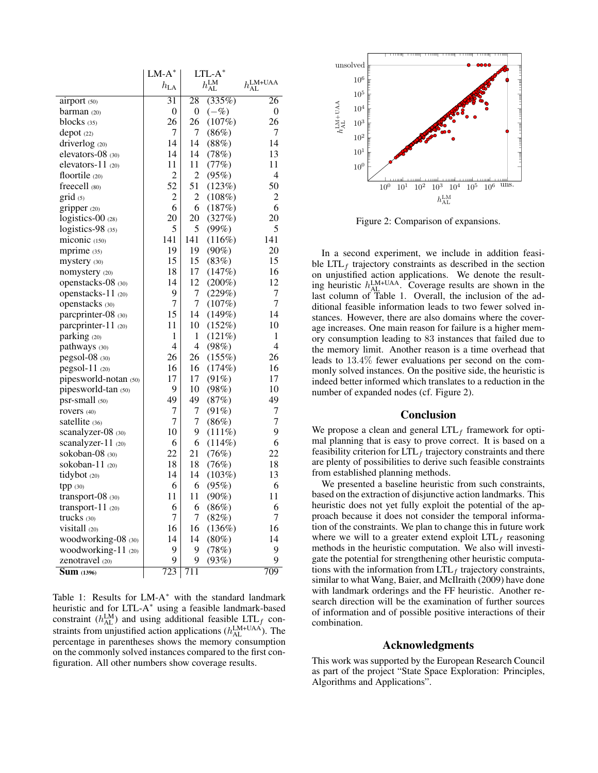|                                | $LM-A^*$          | $LTL-A^*$             |           |                                 |
|--------------------------------|-------------------|-----------------------|-----------|---------------------------------|
|                                | $h_{\mathrm{LA}}$ | $h_{\rm AL}^{\rm LM}$ |           | $h_{\text{AL}}^{\text{LM+UAA}}$ |
| airport (50)                   | $\overline{31}$   | 28                    | (335%)    | 26                              |
| barman (20)                    | 0                 | 0                     | $(-\%)$   | 0                               |
| blocks $(35)$                  | 26                | 26                    | (107%)    | 26                              |
| $depot$ (22)                   | 7                 | 7                     | (86%)     | 7                               |
| driverlog (20)                 | 14                | 14                    | (88%)     | 14                              |
| elevators-08 (30)              | 14                | 14                    | (78%)     | 13                              |
| elevators-11 $(20)$            | 11                | 11                    | (77%)     | 11                              |
| floortile (20)                 | $\overline{c}$    | 2                     | (95%)     | 4                               |
| freecell (80)                  | 52                | 51                    | (123%)    | 50                              |
| grid (5)                       | 2                 | 2                     | $(108\%)$ | 2                               |
| gripper $(20)$                 | 6                 | 6                     | (187%)    | 6                               |
| logistics-00 (28)              | 20                | 20                    | (327%)    | 20                              |
| logistics-98 (35)              | 5                 | 5                     | (99%)     | 5                               |
| $miconic$ (150)                | 141               | 141                   | (116%)    | 141                             |
| mprime (35)                    | 19                | 19                    | $(90\%)$  | 20                              |
| mystery (30)                   | 15                | 15                    | (83%)     | 15                              |
| nomystery (20)                 | 18                | 17                    | (147%)    | 16                              |
| openstacks-08 (30)             | 14                | 12                    | $(200\%)$ | 12                              |
| openstacks- $11$ (20)          | 9                 | 7                     | (229%)    | 7                               |
| openstacks (30)                | 7                 | 7                     | (107%)    | 7                               |
| parcprinter-08 (30)            | 15                | 14                    | (149%)    | 14                              |
| parcprinter-11 (20)            | 11                | 10                    | (152%)    | 10                              |
| parking (20)                   | 1                 | 1                     | (121%)    | 1                               |
| pathways (30)                  | 4                 | 4                     | (98%)     | 4                               |
| pegsol-08 (30)                 | 26                | 26                    | (155%)    | 26                              |
| pegsol-11 (20)                 | 16                | 16                    | (174%)    | 16                              |
| pipesworld-notan (50)          | 17                | 17                    | (91%)     | 17                              |
| pipesworld-tan (50)            | 9                 | 10                    | (98%)     | 10                              |
| $psr$ -small $(50)$            | 49                | 49                    | (87%)     | 49                              |
| rovers (40)                    | 7                 | 7                     | (91%)     | 7                               |
| satellite (36)                 | 7                 | 7                     | (86%)     | 7                               |
| scanalyzer-08 (30)             | 10                | 9                     | $(111\%)$ | 9                               |
| scanalyzer-11 (20)             | 6                 | 6                     | (114%)    | 6                               |
| sokoban-08 $(30)$              | 22                | 21                    | (76%)     | 22                              |
| sokoban-11 $(20)$              | 18                | 18                    | (76%)     | 18                              |
| tidybot (20)                   | 14                | 14                    | (103%)    | 13                              |
| tpp (30)                       | 6                 | 6                     | (95%)     | 6                               |
| transport-08 (30)              | 11                | 11                    | $(90\%)$  | 11                              |
| transport- $11$ (20)           | 6                 | 6                     | (86%)     | 6                               |
| trucks $(30)$                  | 7                 | 7                     | (82%)     | 7                               |
| visitall $(20)$                | 16                | 16                    | (136%)    | 16                              |
| woodworking-08 (30)            | 14                | 14                    | $(80\%)$  | 14                              |
| woodworking- $11_{(20)}$       | 9                 | 9                     | (78%)     | 9                               |
| zenotravel (20)                | 9                 | 9                     | (93%)     | 9                               |
| $\overline{\text{Sum}}$ (1396) | 723               | 711                   |           | 709                             |

Table 1: Results for  $LM-A^*$  with the standard landmark heuristic and for LTL-A<sup>\*</sup> using a feasible landmark-based constraint ( $h_{\text{AL}}^{\text{LM}}$ ) and using additional feasible LTL<sub>f</sub> constraints from unjustified action applications  $(h_{AL}^{LM+UAA})$ . The percentage in parentheses shows the memory consumption on the commonly solved instances compared to the first configuration. All other numbers show coverage results.



Figure 2: Comparison of expansions.

In a second experiment, we include in addition feasible  $LTL_f$  trajectory constraints as described in the section on unjustified action applications. We denote the resulting heuristic  $h_{\text{AL}}^{\text{LM+UAA}}$ . Coverage results are shown in the last column of Table 1. Overall, the inclusion of the additional feasible information leads to two fewer solved instances. However, there are also domains where the coverage increases. One main reason for failure is a higher memory consumption leading to 83 instances that failed due to the memory limit. Another reason is a time overhead that leads to 13.4% fewer evaluations per second on the commonly solved instances. On the positive side, the heuristic is indeed better informed which translates to a reduction in the number of expanded nodes (cf. Figure 2).

#### Conclusion

We propose a clean and general  $LTL_f$  framework for optimal planning that is easy to prove correct. It is based on a feasibility criterion for  $LTL<sub>f</sub>$  trajectory constraints and there are plenty of possibilities to derive such feasible constraints from established planning methods.

We presented a baseline heuristic from such constraints, based on the extraction of disjunctive action landmarks. This heuristic does not yet fully exploit the potential of the approach because it does not consider the temporal information of the constraints. We plan to change this in future work where we will to a greater extend exploit  $LTL<sub>f</sub>$  reasoning methods in the heuristic computation. We also will investigate the potential for strengthening other heuristic computations with the information from  $LTL<sub>f</sub>$  trajectory constraints, similar to what Wang, Baier, and McIlraith (2009) have done with landmark orderings and the FF heuristic. Another research direction will be the examination of further sources of information and of possible positive interactions of their combination.

## Acknowledgments

This work was supported by the European Research Council as part of the project "State Space Exploration: Principles, Algorithms and Applications".